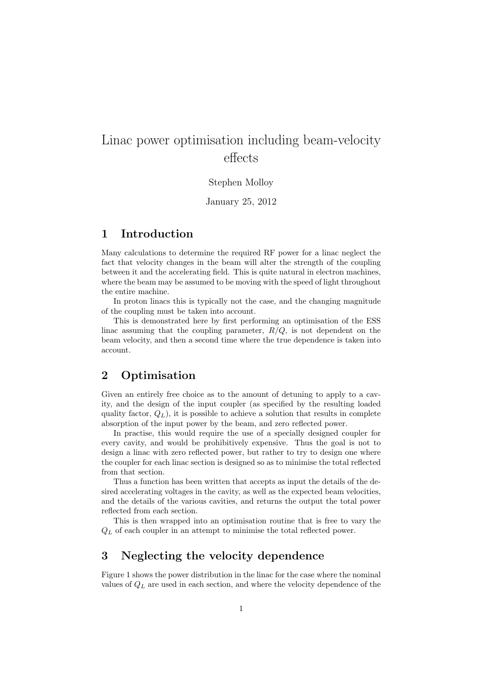# Linac power optimisation including beam-velocity effects

#### Stephen Molloy

January 25, 2012

#### 1 Introduction

Many calculations to determine the required RF power for a linac neglect the fact that velocity changes in the beam will alter the strength of the coupling between it and the accelerating field. This is quite natural in electron machines, where the beam may be assumed to be moving with the speed of light throughout the entire machine.

In proton linacs this is typically not the case, and the changing magnitude of the coupling must be taken into account.

This is demonstrated here by first performing an optimisation of the ESS linac assuming that the coupling parameter,  $R/Q$ , is not dependent on the beam velocity, and then a second time where the true dependence is taken into account.

#### 2 Optimisation

Given an entirely free choice as to the amount of detuning to apply to a cavity, and the design of the input coupler (as specified by the resulting loaded quality factor,  $Q_L$ ), it is possible to achieve a solution that results in complete absorption of the input power by the beam, and zero reflected power.

In practise, this would require the use of a specially designed coupler for every cavity, and would be prohibitively expensive. Thus the goal is not to design a linac with zero reflected power, but rather to try to design one where the coupler for each linac section is designed so as to minimise the total reflected from that section.

Thus a function has been written that accepts as input the details of the desired accelerating voltages in the cavity, as well as the expected beam velocities, and the details of the various cavities, and returns the output the total power reflected from each section.

This is then wrapped into an optimisation routine that is free to vary the  $Q_L$  of each coupler in an attempt to minimise the total reflected power.

#### 3 Neglecting the velocity dependence

Figure 1 shows the power distribution in the linac for the case where the nominal values of  $Q_L$  are used in each section, and where the velocity dependence of the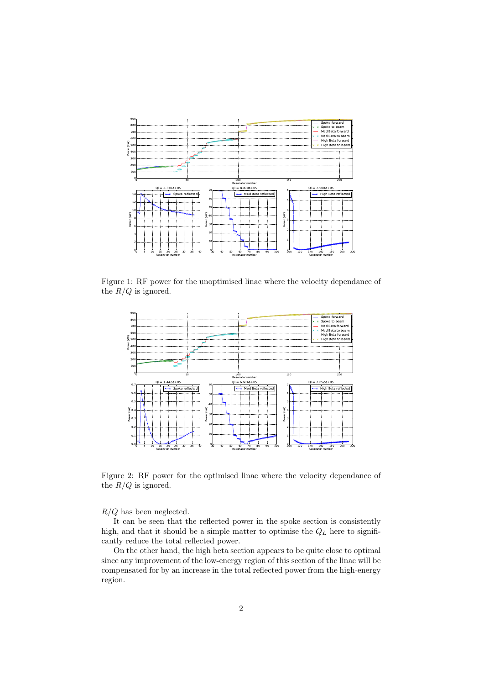

Figure 1: RF power for the unoptimised linac where the velocity dependance of the  ${\mathbb R}/Q$  is ignored.



Figure 2: RF power for the optimised linac where the velocity dependance of the  $R/Q$  is ignored.

 $R/Q$  has been neglected.

It can be seen that the reflected power in the spoke section is consistently high, and that it should be a simple matter to optimise the  $Q_L$  here to significantly reduce the total reflected power.

On the other hand, the high beta section appears to be quite close to optimal since any improvement of the low-energy region of this section of the linac will be compensated for by an increase in the total reflected power from the high-energy region.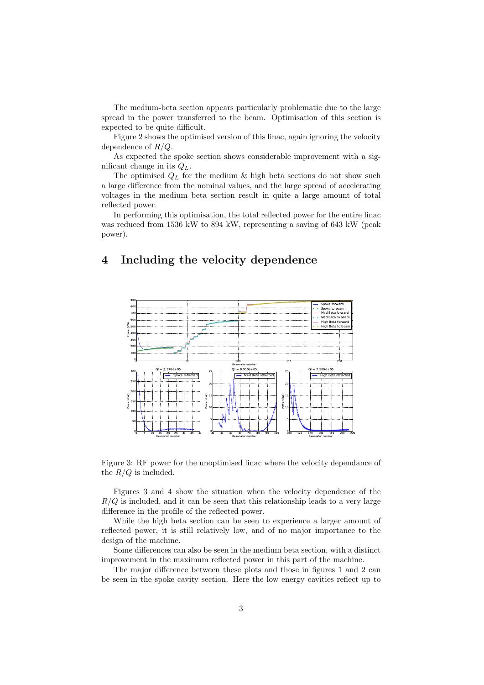The medium-beta section appears particularly problematic due to the large spread in the power transferred to the beam. Optimisation of this section is expected to be quite difficult.

Figure 2 shows the optimised version of this linac, again ignoring the velocity dependence of  $R/Q$ .

As expected the spoke section shows considerable improvement with a significant change in its  $Q_L$ .

The optimised  $Q_L$  for the medium & high beta sections do not show such a large difference from the nominal values, and the large spread of accelerating voltages in the medium beta section result in quite a large amount of total reflected power.

In performing this optimisation, the total reflected power for the entire linac was reduced from 1536 kW to 894 kW, representing a saving of 643 kW (peak power).

## 4 Including the velocity dependence



Figure 3: RF power for the unoptimised linac where the velocity dependance of the  $R/Q$  is included.

Figures 3 and 4 show the situation when the velocity dependence of the  $R/Q$  is included, and it can be seen that this relationship leads to a very large difference in the profile of the reflected power.

While the high beta section can be seen to experience a larger amount of reflected power, it is still relatively low, and of no major importance to the design of the machine.

Some differences can also be seen in the medium beta section, with a distinct improvement in the maximum reflected power in this part of the machine.

The major difference between these plots and those in figures 1 and 2 can be seen in the spoke cavity section. Here the low energy cavities reflect up to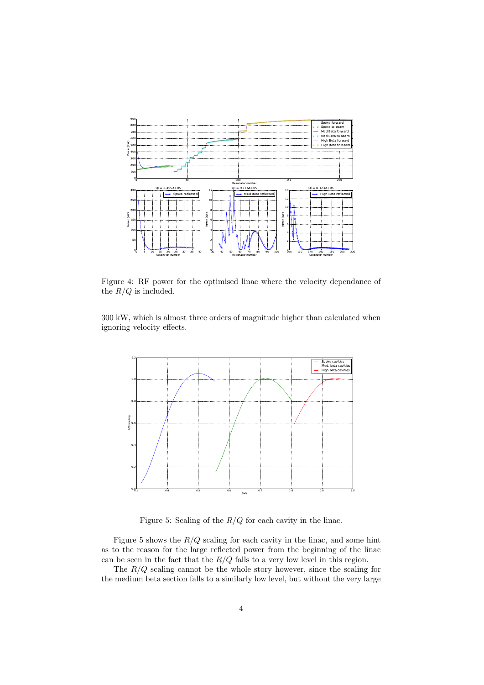

Figure 4: RF power for the optimised linac where the velocity dependance of the  $R/Q$  is included.

300 kW, which is almost three orders of magnitude higher than calculated when ignoring velocity effects.



Figure 5: Scaling of the  $R/Q$  for each cavity in the linac.

Figure 5 shows the  $R/Q$  scaling for each cavity in the linac, and some hint as to the reason for the large reflected power from the beginning of the linac can be seen in the fact that the  $R/Q$  falls to a very low level in this region.

The  $R/Q$  scaling cannot be the whole story however, since the scaling for the medium beta section falls to a similarly low level, but without the very large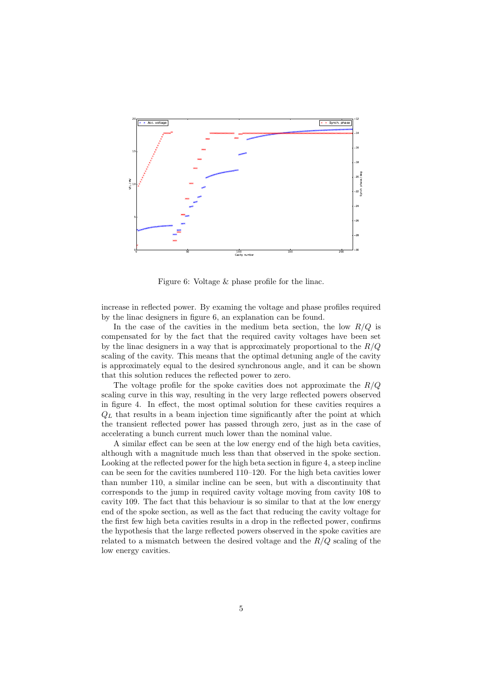

Figure 6: Voltage & phase profile for the linac.

increase in reflected power. By examing the voltage and phase profiles required by the linac designers in figure 6, an explanation can be found.

In the case of the cavities in the medium beta section, the low  $R/Q$  is compensated for by the fact that the required cavity voltages have been set by the linac designers in a way that is approximately proportional to the  $R/Q$ scaling of the cavity. This means that the optimal detuning angle of the cavity is approximately equal to the desired synchronous angle, and it can be shown that this solution reduces the reflected power to zero.

The voltage profile for the spoke cavities does not approximate the  $R/Q$ scaling curve in this way, resulting in the very large reflected powers observed in figure 4. In effect, the most optimal solution for these cavities requires a  $Q_L$  that results in a beam injection time significantly after the point at which the transient reflected power has passed through zero, just as in the case of accelerating a bunch current much lower than the nominal value.

A similar effect can be seen at the low energy end of the high beta cavities, although with a magnitude much less than that observed in the spoke section. Looking at the reflected power for the high beta section in figure 4, a steep incline can be seen for the cavities numbered 110–120. For the high beta cavities lower than number 110, a similar incline can be seen, but with a discontinuity that corresponds to the jump in required cavity voltage moving from cavity 108 to cavity 109. The fact that this behaviour is so similar to that at the low energy end of the spoke section, as well as the fact that reducing the cavity voltage for the first few high beta cavities results in a drop in the reflected power, confirms the hypothesis that the large reflected powers observed in the spoke cavities are related to a mismatch between the desired voltage and the  $R/Q$  scaling of the low energy cavities.